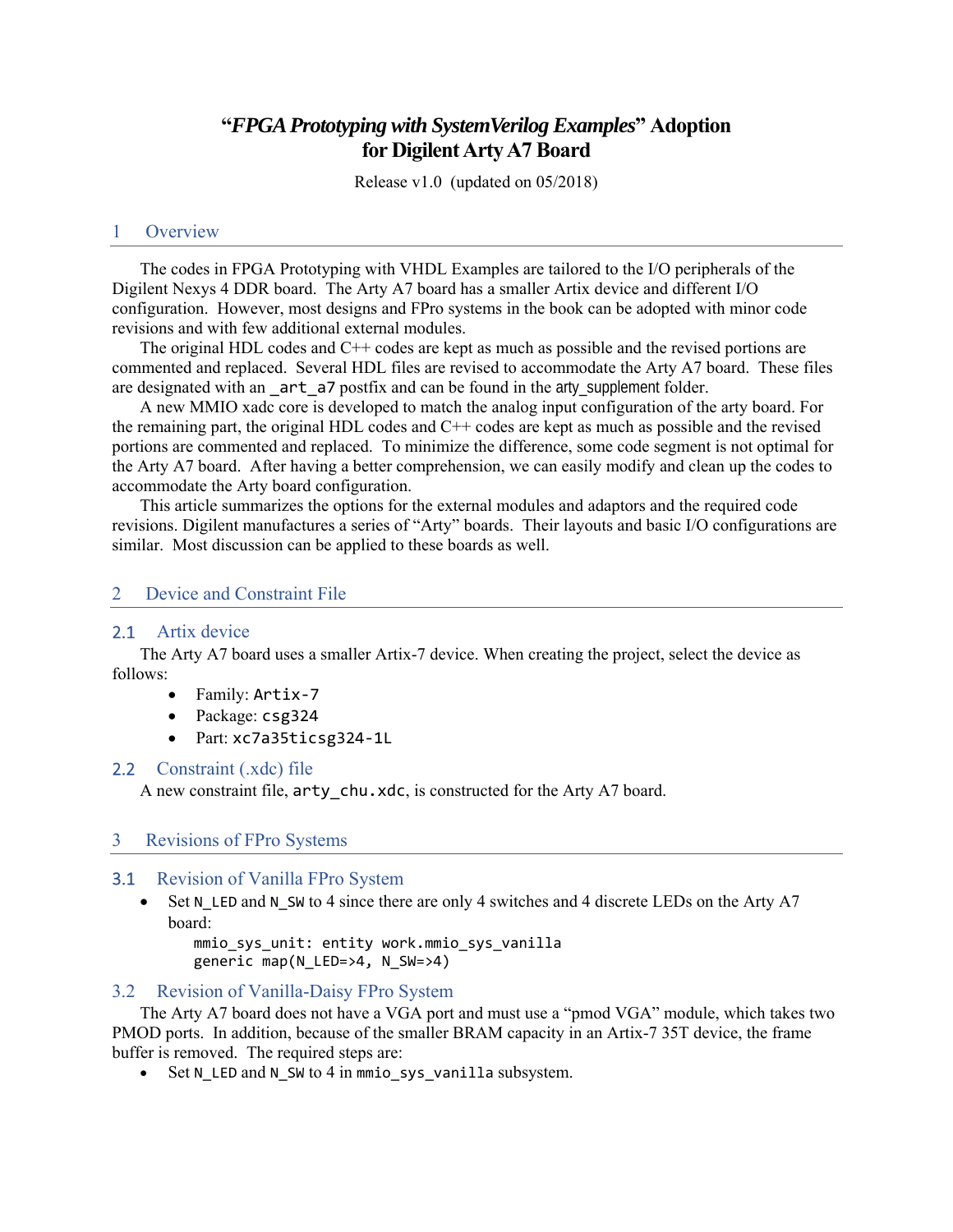# **"***FPGA Prototyping with SystemVerilog Examples***" Adoption for Digilent Arty A7 Board**

Release v1.0 (updated on 05/2018)

#### 1 Overview

The codes in FPGA Prototyping with VHDL Examples are tailored to the I/O peripherals of the Digilent Nexys 4 DDR board. The Arty A7 board has a smaller Artix device and different I/O configuration. However, most designs and FPro systems in the book can be adopted with minor code revisions and with few additional external modules.

The original HDL codes and C++ codes are kept as much as possible and the revised portions are commented and replaced. Several HDL files are revised to accommodate the Arty A7 board. These files are designated with an \_art\_a7 postfix and can be found in the arty\_supplement folder.

A new MMIO xadc core is developed to match the analog input configuration of the arty board. For the remaining part, the original HDL codes and C++ codes are kept as much as possible and the revised portions are commented and replaced. To minimize the difference, some code segment is not optimal for the Arty A7 board. After having a better comprehension, we can easily modify and clean up the codes to accommodate the Arty board configuration.

This article summarizes the options for the external modules and adaptors and the required code revisions. Digilent manufactures a series of "Arty" boards. Their layouts and basic I/O configurations are similar. Most discussion can be applied to these boards as well.

### 2 Device and Constraint File

### 2.1 Artix device

The Arty A7 board uses a smaller Artix-7 device. When creating the project, select the device as follows:

- Family: Artix‐7
- Package: csg324
- Part: xc7a35ticsg324‐1L

### 2.2 Constraint (.xdc) file

A new constraint file,  $arty$  chu.xdc, is constructed for the Arty A7 board.

#### 3 Revisions of FPro Systems

#### 3.1 Revision of Vanilla FPro System

Set N\_LED and N\_SW to 4 since there are only 4 switches and 4 discrete LEDs on the Arty A7 board:

 mmio\_sys\_unit: entity work.mmio\_sys\_vanilla generic map(N\_LED=>4, N\_SW=>4)

### 3.2 Revision of Vanilla-Daisy FPro System

The Arty A7 board does not have a VGA port and must use a "pmod VGA" module, which takes two PMOD ports. In addition, because of the smaller BRAM capacity in an Artix-7 35T device, the frame buffer is removed. The required steps are:

• Set N LED and N SW to 4 in mmio sys vanilla subsystem.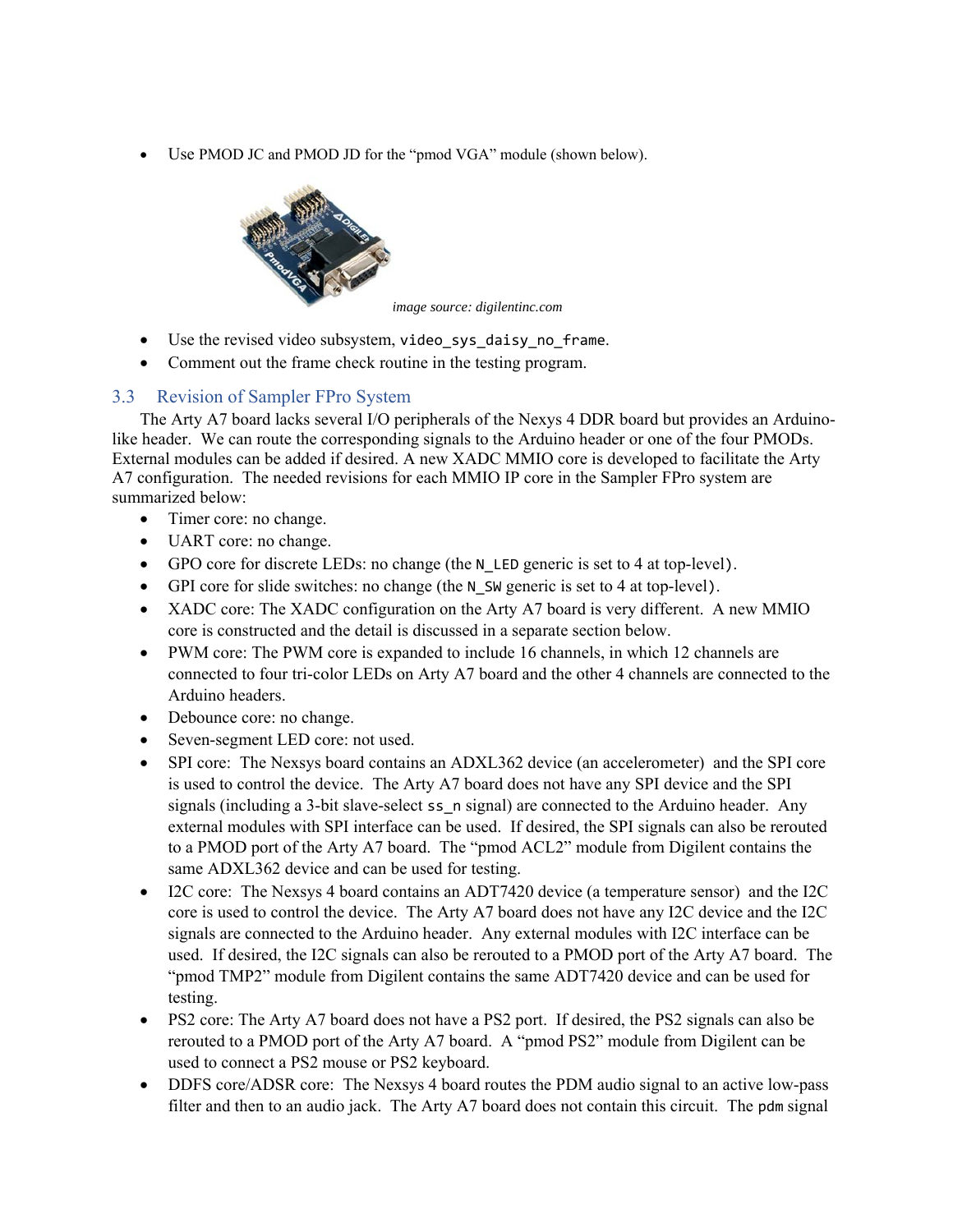Use PMOD JC and PMOD JD for the "pmod VGA" module (shown below).



*image source: digilentinc.com* 

- Use the revised video subsystem, video sys\_daisy\_no\_frame.
- Comment out the frame check routine in the testing program.

# 3.3 Revision of Sampler FPro System

The Arty A7 board lacks several I/O peripherals of the Nexys 4 DDR board but provides an Arduinolike header. We can route the corresponding signals to the Arduino header or one of the four PMODs. External modules can be added if desired. A new XADC MMIO core is developed to facilitate the Arty A7 configuration. The needed revisions for each MMIO IP core in the Sampler FPro system are summarized below:

- Timer core: no change.
- UART core: no change.
- GPO core for discrete LEDs: no change (the N\_LED generic is set to 4 at top-level).
- GPI core for slide switches: no change (the N\_SW generic is set to 4 at top-level).
- XADC core: The XADC configuration on the Arty A7 board is very different. A new MMIO core is constructed and the detail is discussed in a separate section below.
- PWM core: The PWM core is expanded to include 16 channels, in which 12 channels are connected to four tri-color LEDs on Arty A7 board and the other 4 channels are connected to the Arduino headers.
- Debounce core: no change.
- Seven-segment LED core: not used.
- SPI core: The Nexsys board contains an ADXL362 device (an accelerometer) and the SPI core is used to control the device. The Arty A7 board does not have any SPI device and the SPI signals (including a 3-bit slave-select ss n signal) are connected to the Arduino header. Any external modules with SPI interface can be used. If desired, the SPI signals can also be rerouted to a PMOD port of the Arty A7 board. The "pmod ACL2" module from Digilent contains the same ADXL362 device and can be used for testing.
- I2C core: The Nexsys 4 board contains an ADT7420 device (a temperature sensor) and the I2C core is used to control the device. The Arty A7 board does not have any I2C device and the I2C signals are connected to the Arduino header. Any external modules with I2C interface can be used. If desired, the I2C signals can also be rerouted to a PMOD port of the Arty A7 board. The "pmod TMP2" module from Digilent contains the same ADT7420 device and can be used for testing.
- PS2 core: The Arty A7 board does not have a PS2 port. If desired, the PS2 signals can also be rerouted to a PMOD port of the Arty A7 board. A "pmod PS2" module from Digilent can be used to connect a PS2 mouse or PS2 keyboard.
- DDFS core/ADSR core: The Nexsys 4 board routes the PDM audio signal to an active low-pass filter and then to an audio jack. The Arty A7 board does not contain this circuit. The pdm signal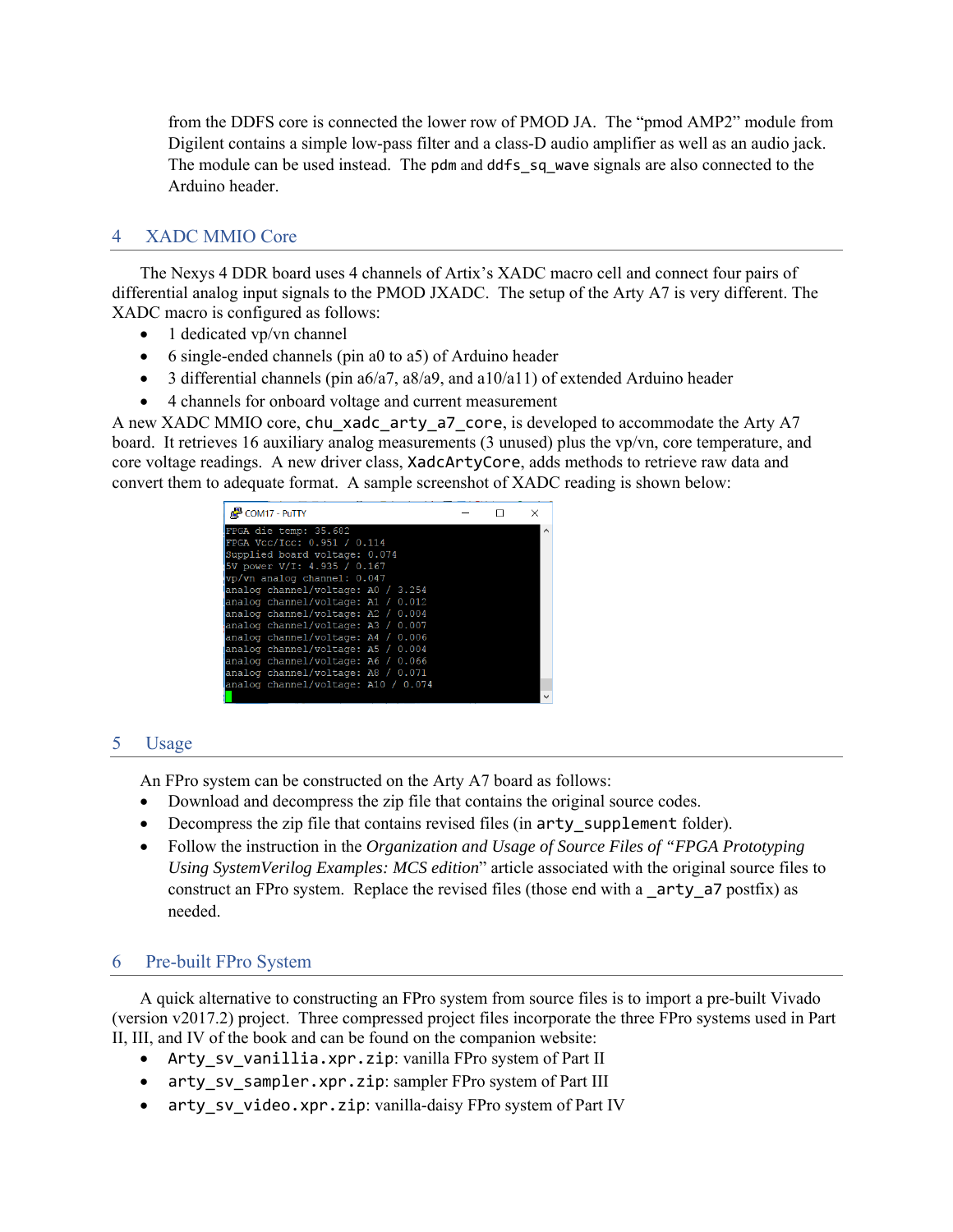from the DDFS core is connected the lower row of PMOD JA. The "pmod AMP2" module from Digilent contains a simple low-pass filter and a class-D audio amplifier as well as an audio jack. The module can be used instead. The pdm and ddfs sq wave signals are also connected to the Arduino header.

# 4 XADC MMIO Core

The Nexys 4 DDR board uses 4 channels of Artix's XADC macro cell and connect four pairs of differential analog input signals to the PMOD JXADC. The setup of the Arty A7 is very different. The XADC macro is configured as follows:

- 1 dedicated vp/vn channel
- $\bullet$  6 single-ended channels (pin a0 to a5) of Arduino header
- $\bullet$  3 differential channels (pin a6/a7, a8/a9, and a10/a11) of extended Arduino header
- 4 channels for onboard voltage and current measurement

A new XADC MMIO core, chu xadc arty a7 core, is developed to accommodate the Arty A7 board. It retrieves 16 auxiliary analog measurements (3 unused) plus the vp/vn, core temperature, and core voltage readings. A new driver class, XadcArtyCore, adds methods to retrieve raw data and convert them to adequate format. A sample screenshot of XADC reading is shown below:

| COM17 - PuTTY                       |  |  |
|-------------------------------------|--|--|
| FPGA die temp: 35.682               |  |  |
| FPGA Vcc/Icc: 0.951 / 0.114         |  |  |
| Supplied board voltage: 0.074       |  |  |
| 5V power V/I: 4.935 / 0.167         |  |  |
| vp/vn analog channel: 0.047         |  |  |
| analog channel/voltage: A0 / 3.254  |  |  |
| analog channel/voltage: A1 / 0.012  |  |  |
| analog channel/voltage: A2 / 0.004  |  |  |
| analog channel/voltage: A3 / 0.007  |  |  |
| analog channel/voltage: A4 / 0.006  |  |  |
| analog channel/voltage: A5 / 0.004  |  |  |
| analog channel/voltage: A6 / 0.066  |  |  |
| analog channel/voltage: A8 / 0.071  |  |  |
| analog channel/voltage: A10 / 0.074 |  |  |
|                                     |  |  |

## 5 Usage

An FPro system can be constructed on the Arty A7 board as follows:

- Download and decompress the zip file that contains the original source codes.
- Decompress the zip file that contains revised files (in arty supplement folder).
- Follow the instruction in the *Organization and Usage of Source Files of "FPGA Prototyping Using SystemVerilog Examples: MCS edition*" article associated with the original source files to construct an FPro system. Replace the revised files (those end with a \_arty\_a7 postfix) as needed.

## 6 Pre-built FPro System

A quick alternative to constructing an FPro system from source files is to import a pre-built Vivado (version v2017.2) project. Three compressed project files incorporate the three FPro systems used in Part II, III, and IV of the book and can be found on the companion website:

- Arty\_sv\_vanillia.xpr.zip: vanilla FPro system of Part II
- arty\_sv\_sampler.xpr.zip: sampler FPro system of Part III
- arty sv video.xpr.zip: vanilla-daisy FPro system of Part IV